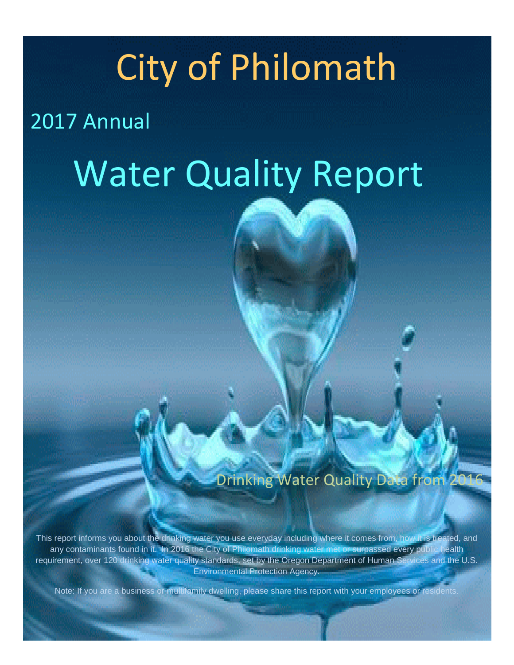## City of Philomath

## 2017 Annual

# Water Quality Report

Drinking Water Quality Data from

This report informs you about the drinking water you use everyday including where it comes from, how it is treated, and any contaminants found in it. In 2016 the City of Philomath drinking water met or surpassed every public health requirement, over 120 drinking water quality standards, set by the Oregon Department of Human Services and the U.S. Environmental Protection Agency.

Note: If you are a business or multifamily dwelling, please share this report with your employees or residents.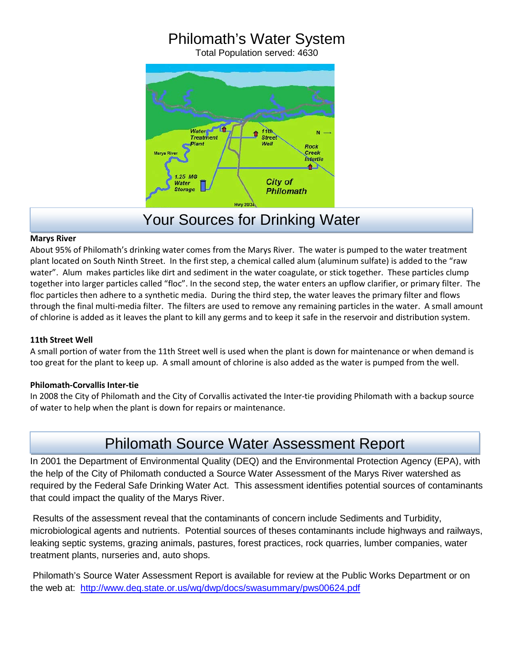## Philomath's Water System

Total Population served: 4630



## Your Sources for Drinking Water

#### **Marys River**

About 95% of Philomath's drinking water comes from the Marys River. The water is pumped to the water treatment plant located on South Ninth Street. In the first step, a chemical called alum (aluminum sulfate) is added to the "raw water". Alum makes particles like dirt and sediment in the water coagulate, or stick together. These particles clump together into larger particles called "floc". In the second step, the water enters an upflow clarifier, or primary filter. The floc particles then adhere to a synthetic media. During the third step, the water leaves the primary filter and flows through the final multi-media filter. The filters are used to remove any remaining particles in the water. A small amount of chlorine is added as it leaves the plant to kill any germs and to keep it safe in the reservoir and distribution system.

#### **11th Street Well**

A small portion of water from the 11th Street well is used when the plant is down for maintenance or when demand is too great for the plant to keep up. A small amount of chlorine is also added as the water is pumped from the well.

#### **Philomath-Corvallis Inter-tie**

In 2008 the City of Philomath and the City of Corvallis activated the Inter-tie providing Philomath with a backup source of water to help when the plant is down for repairs or maintenance.

### Philomath Source Water Assessment Report

In 2001 the Department of Environmental Quality (DEQ) and the Environmental Protection Agency (EPA), with the help of the City of Philomath conducted a Source Water Assessment of the Marys River watershed as required by the Federal Safe Drinking Water Act. This assessment identifies potential sources of contaminants that could impact the quality of the Marys River.

Results of the assessment reveal that the contaminants of concern include Sediments and Turbidity, microbiological agents and nutrients. Potential sources of theses contaminants include highways and railways, leaking septic systems, grazing animals, pastures, forest practices, rock quarries, lumber companies, water treatment plants, nurseries and, auto shops.

Philomath's Source Water Assessment Report is available for review at the Public Works Department or on the web at: http://www.deq.state.or.us/wq/dwp/docs/swasummary/pws00624.pdf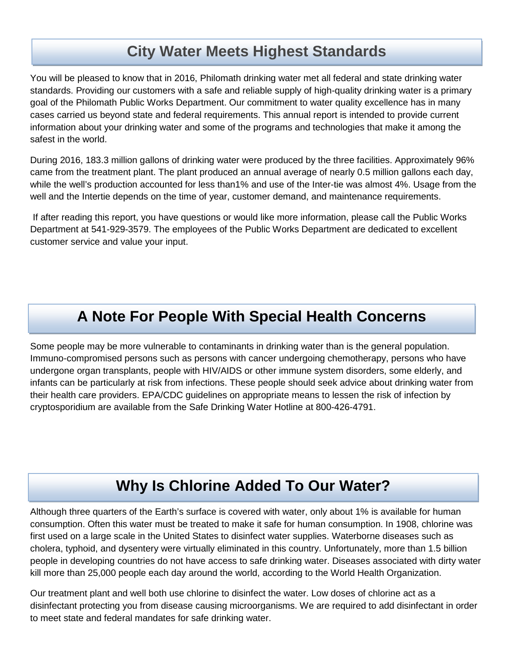## **City Water Meets Highest Standards**

You will be pleased to know that in 2016, Philomath drinking water met all federal and state drinking water standards. Providing our customers with a safe and reliable supply of high-quality drinking water is a primary goal of the Philomath Public Works Department. Our commitment to water quality excellence has in many cases carried us beyond state and federal requirements. This annual report is intended to provide current information about your drinking water and some of the programs and technologies that make it among the safest in the world.

During 2016, 183.3 million gallons of drinking water were produced by the three facilities. Approximately 96% came from the treatment plant. The plant produced an annual average of nearly 0.5 million gallons each day, while the well's production accounted for less than1% and use of the Inter-tie was almost 4%. Usage from the well and the Intertie depends on the time of year, customer demand, and maintenance requirements.

If after reading this report, you have questions or would like more information, please call the Public Works Department at 541-929-3579. The employees of the Public Works Department are dedicated to excellent customer service and value your input.

## **A Note For People With Special Health Concerns**

Some people may be more vulnerable to contaminants in drinking water than is the general population. Immuno-compromised persons such as persons with cancer undergoing chemotherapy, persons who have undergone organ transplants, people with HIV/AIDS or other immune system disorders, some elderly, and infants can be particularly at risk from infections. These people should seek advice about drinking water from their health care providers. EPA/CDC guidelines on appropriate means to lessen the risk of infection by cryptosporidium are available from the Safe Drinking Water Hotline at 800-426-4791.

## **Why Is Chlorine Added To Our Water?**

Although three quarters of the Earth's surface is covered with water, only about 1% is available for human consumption. Often this water must be treated to make it safe for human consumption. In 1908, chlorine was first used on a large scale in the United States to disinfect water supplies. Waterborne diseases such as cholera, typhoid, and dysentery were virtually eliminated in this country. Unfortunately, more than 1.5 billion people in developing countries do not have access to safe drinking water. Diseases associated with dirty water kill more than 25,000 people each day around the world, according to the World Health Organization.

Our treatment plant and well both use chlorine to disinfect the water. Low doses of chlorine act as a disinfectant protecting you from disease causing microorganisms. We are required to add disinfectant in order to meet state and federal mandates for safe drinking water.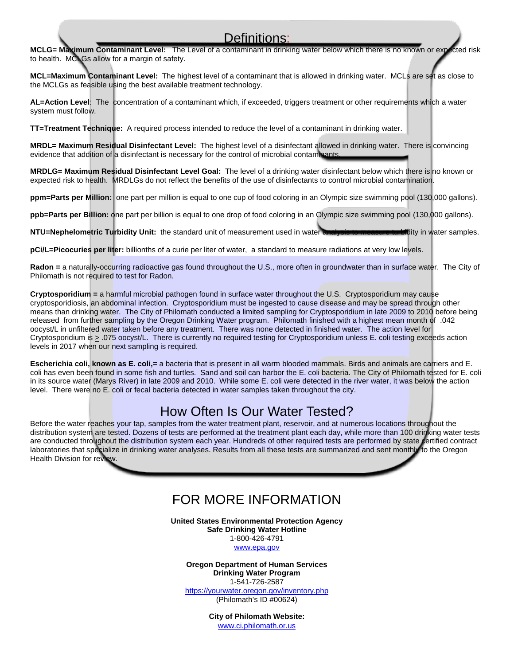#### Definitions:

**MCLG= Maximum Contaminant Level:** The Level of a contaminant in drinking water below which there is no known or expected risk to health. MCLGs allow for a margin of safety.

**MCL=Maximum Contaminant Level:** The highest level of a contaminant that is allowed in drinking water. MCLs are set as close to the MCLGs as feasible using the best available treatment technology.

**AL=Action Level**: The concentration of a contaminant which, if exceeded, triggers treatment or other requirements which a water system must follow.

**TT=Treatment Technique:** A required process intended to reduce the level of a contaminant in drinking water.

**MRDL= Maximum Residual Disinfectant Level:** The highest level of a disinfectant allowed in drinking water. There is convincing evidence that addition of a disinfectant is necessary for the control of microbial contaminants.

**MRDLG= Maximum Residual Disinfectant Level Goal:** The level of a drinking water disinfectant below which there is no known or expected risk to health. MRDLGs do not reflect the benefits of the use of disinfectants to control microbial contamination.

**ppm=Parts per Million:** one part per million is equal to one cup of food coloring in an Olympic size swimming pool (130,000 gallons).

**ppb=Parts per Billion:** one part per billion is equal to one drop of food coloring in an Olympic size swimming pool (130,000 gallons).

**NTU=Nephelometric Turbidity Unit:** the standard unit of measurement used in water analysis to measure turbidity in water samples.

**pCi/L=Picocuries per liter:** billionths of a curie per liter of water, a standard to measure radiations at very low levels.

**Radon =** a naturally-occurring radioactive gas found throughout the U.S., more often in groundwater than in surface water. The City of Philomath is not required to test for Radon.

**Cryptosporidium =** a harmful microbial pathogen found in surface water throughout the U.S. Cryptosporidium may cause cryptosporidiosis, an abdominal infection. Cryptosporidium must be ingested to cause disease and may be spread through other means than drinking water. The City of Philomath conducted a limited sampling for Cryptosporidium in late 2009 to 2010 before being released from further sampling by the Oregon Drinking Water program. Philomath finished with a highest mean month of .042 oocyst/L in unfiltered water taken before any treatment. There was none detected in finished water. The action level for Cryptosporidium is > .075 oocyst/L. There is currently no required testing for Cryptosporidium unless E. coli testing exceeds action levels in 2017 when our next sampling is required.

**Escherichia coli, known as E. coli,=** a bacteria that is present in all warm blooded mammals. Birds and animals are carriers and E. coli has even been found in some fish and turtles. Sand and soil can harbor the E. coli bacteria. The City of Philomath tested for E. coli in its source water (Marys River) in late 2009 and 2010. While some E. coli were detected in the river water, it was below the action level. There were no E. coli or fecal bacteria detected in water samples taken throughout the city.

#### How Often Is Our Water Tested?

Before the water reaches your tap, samples from the water treatment plant, reservoir, and at numerous locations throughout the distribution system are tested. Dozens of tests are performed at the treatment plant each day, while more than 100 drinking water tests are conducted throughout the distribution system each year. Hundreds of other required tests are performed by state certified contract laboratories that specialize in drinking water analyses. Results from all these tests are summarized and sent monthly to the Oregon Health Division for review.

#### FOR MORE INFORMATION

**United States Environmental Protection Agency Safe Drinking Water Hotline**

> 1-800-426-4791 www.epa.gov

**Oregon Department of Human Services Drinking Water Program**

1-541-726-2587 https://yourwater.oregon.gov/inventory.php (Philomath's ID #00624)

> **City of Philomath Website:** www.ci.philomath.or.us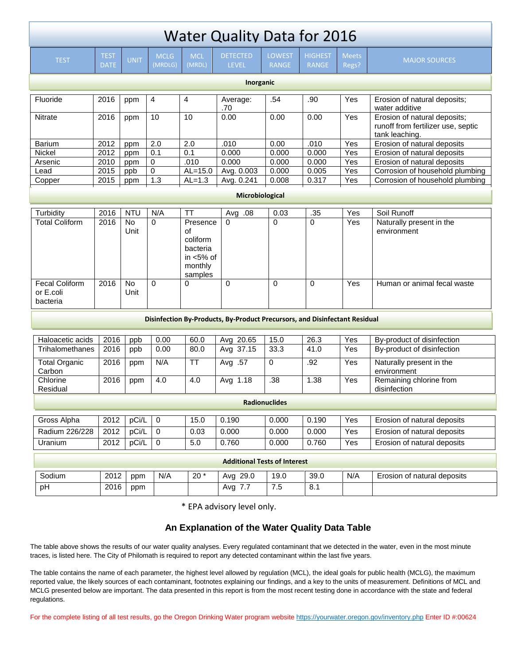| <b>Water Quality Data for 2016</b>                                         |                            |                        |                        |                                                                              |                                 |                               |                                |                       |                                                                                      |
|----------------------------------------------------------------------------|----------------------------|------------------------|------------------------|------------------------------------------------------------------------------|---------------------------------|-------------------------------|--------------------------------|-----------------------|--------------------------------------------------------------------------------------|
| <b>TEST</b>                                                                | <b>TEST</b><br><b>DATE</b> | <b>UNIT</b>            | <b>MCLG</b><br>(MRDLG) | <b>MCL</b><br>(MRDL)                                                         | <b>DETECTED</b><br><b>LEVEL</b> | <b>LOWEST</b><br><b>RANGE</b> | <b>HIGHEST</b><br><b>RANGE</b> | <b>Meets</b><br>Regs? | <b>MAJOR SOURCES</b>                                                                 |
| Inorganic                                                                  |                            |                        |                        |                                                                              |                                 |                               |                                |                       |                                                                                      |
| Fluoride                                                                   | 2016                       | ppm                    | 4                      | 4                                                                            | Average:<br>.70                 | .54                           | .90                            | Yes                   | Erosion of natural deposits;<br>water additive                                       |
| <b>Nitrate</b>                                                             | 2016                       | ppm                    | 10                     | 10                                                                           | 0.00                            | 0.00                          | 0.00                           | Yes                   | Erosion of natural deposits;<br>runoff from fertilizer use, septic<br>tank leaching. |
| <b>Barium</b>                                                              | 2012                       | ppm                    | 2.0                    | 2.0                                                                          | .010                            | 0.00                          | .010                           | Yes                   | Erosion of natural deposits                                                          |
| Nickel                                                                     | 2012                       | ppm                    | 0.1                    | 0.1                                                                          | 0.000                           | 0.000                         | 0.000                          | Yes                   | Erosion of natural deposits                                                          |
| Arsenic                                                                    | 2010                       | ppm                    | $\pmb{0}$              | .010                                                                         | 0.000                           | 0.000                         | 0.000                          | Yes                   | Erosion of natural deposits                                                          |
| Lead                                                                       | 2015                       | ppb                    | $\mathbf 0$            | $AL=15.0$                                                                    | Avg. 0.003                      | 0.000                         | 0.005                          | Yes                   | Corrosion of household plumbing                                                      |
| Copper                                                                     | 2015                       | ppm                    | 1.3                    | $AL=1.3$                                                                     | Avg. 0.241                      | 0.008                         | 0.317                          | Yes                   | Corrosion of household plumbing                                                      |
| <b>Microbiological</b>                                                     |                            |                        |                        |                                                                              |                                 |                               |                                |                       |                                                                                      |
| Turbidity                                                                  | 2016                       | <b>NTU</b>             | N/A                    | <b>TT</b>                                                                    | Avg .08                         | 0.03                          | .35                            | $\overline{Yes}$      | Soil Runoff                                                                          |
| <b>Total Coliform</b>                                                      | 2016                       | No<br>Unit             | $\Omega$               | Presence<br>of<br>coliform<br>bacteria<br>in $<$ 5% of<br>monthly<br>samples | $\Omega$                        | 0                             | $\Omega$                       | Yes                   | Naturally present in the<br>environment                                              |
| <b>Fecal Coliform</b><br>or E.coli<br>bacteria                             | 2016                       | $\overline{N}$<br>Unit | $\Omega$               | 0                                                                            | $\Omega$                        | $\Omega$                      | $\Omega$                       | Yes                   | Human or animal fecal waste                                                          |
| Disinfection By-Products, By-Product Precursors, and Disinfectant Residual |                            |                        |                        |                                                                              |                                 |                               |                                |                       |                                                                                      |
|                                                                            |                            |                        |                        |                                                                              |                                 |                               |                                |                       |                                                                                      |
| Haloacetic acids                                                           | 2016                       | ppb                    | 0.00                   | 60.0                                                                         | Avg 20.65                       | 15.0                          | 26.3                           | Yes                   | By-product of disinfection                                                           |
| Trihalomethanes                                                            | 2016                       | ppb                    | 0.00                   | 80.0                                                                         | Avg 37.15                       | 33.3                          | 41.0                           | Yes                   | By-product of disinfection                                                           |
| Total Organic<br>Carbon                                                    | 2016                       | ppm                    | N/A                    | <b>TT</b>                                                                    | Avg .57                         | 0                             | .92                            | Yes                   | Naturally present in the<br>environment                                              |
| Chlorine<br>Residual                                                       | 2016                       | ppm                    | 4.0                    | 4.0                                                                          | Avg 1.18                        | $\overline{.38}$              | 1.38                           | Yes                   | Remaining chlorine from<br>disinfection                                              |
| <b>Radionuclides</b>                                                       |                            |                        |                        |                                                                              |                                 |                               |                                |                       |                                                                                      |
| Gross Alpha                                                                | 2012                       | pCi/L                  | $\overline{0}$         | 15.0                                                                         | 0.190                           | 0.000                         | 0.190                          | Yes                   | Erosion of natural deposits                                                          |
| Radium 226/228                                                             | 2012                       | pCi/L                  | $\mathbf 0$            | 0.03                                                                         | 0.000                           | 0.000                         | 0.000                          | Yes                   | Erosion of natural deposits                                                          |
| Uranium                                                                    | 2012                       | pCi/L                  | $\mathbf 0$            | 5.0                                                                          | 0.760                           | 0.000                         | 0.760                          | Yes                   | Erosion of natural deposits                                                          |
| <b>Additional Tests of Interest</b>                                        |                            |                        |                        |                                                                              |                                 |                               |                                |                       |                                                                                      |
| Sodium                                                                     | 2012                       | ppm                    | N/A                    | $20*$                                                                        | Avg 29.0                        | 19.0                          | 39.0                           | N/A                   | Erosion of natural deposits                                                          |
| pH                                                                         | 2016                       | ppm                    |                        |                                                                              | Avg 7.7                         | 7.5                           | 8.1                            |                       |                                                                                      |
| * EDA advisory level only                                                  |                            |                        |                        |                                                                              |                                 |                               |                                |                       |                                                                                      |

EPA advisory level only.

#### **An Explanation of the Water Quality Data Table**

The table above shows the results of our water quality analyses. Every regulated contaminant that we detected in the water, even in the most minute traces, is listed here. The City of Philomath is required to report any detected contaminant within the last five years.

The table contains the name of each parameter, the highest level allowed by regulation (MCL), the ideal goals for public health (MCLG), the maximum reported value, the likely sources of each contaminant, footnotes explaining our findings, and a key to the units of measurement. Definitions of MCL and MCLG presented below are important. The data presented in this report is from the most recent testing done in accordance with the state and federal regulations.

For the complete listing of all test results, go the Oregon Drinking Water program website https://yourwater.oregon.gov/inventory.php Enter ID #:00624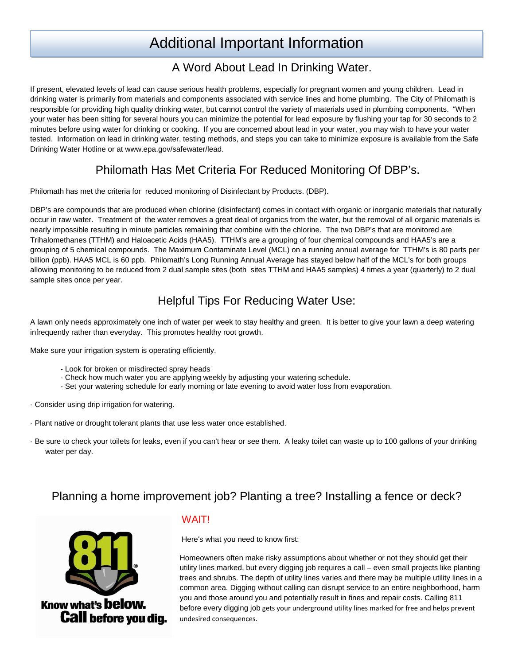## Additional Important Information

#### A Word About Lead In Drinking Water.

If present, elevated levels of lead can cause serious health problems, especially for pregnant women and young children. Lead in drinking water is primarily from materials and components associated with service lines and home plumbing. The City of Philomath is responsible for providing high quality drinking water, but cannot control the variety of materials used in plumbing components. "When your water has been sitting for several hours you can minimize the potential for lead exposure by flushing your tap for 30 seconds to 2 minutes before using water for drinking or cooking. If you are concerned about lead in your water, you may wish to have your water tested. Information on lead in drinking water, testing methods, and steps you can take to minimize exposure is available from the Safe Drinking Water Hotline or at www.epa.gov/safewater/lead.

#### Philomath Has Met Criteria For Reduced Monitoring Of DBP's.

Philomath has met the criteria for reduced monitoring of Disinfectant by Products. (DBP).

DBP's are compounds that are produced when chlorine (disinfectant) comes in contact with organic or inorganic materials that naturally occur in raw water. Treatment of the water removes a great deal of organics from the water, but the removal of all organic materials is nearly impossible resulting in minute particles remaining that combine with the chlorine. The two DBP's that are monitored are Trihalomethanes (TTHM) and Haloacetic Acids (HAA5). TTHM's are a grouping of four chemical compounds and HAA5's are a grouping of 5 chemical compounds. The Maximum Contaminate Level (MCL) on a running annual average for TTHM's is 80 parts per billion (ppb). HAA5 MCL is 60 ppb. Philomath's Long Running Annual Average has stayed below half of the MCL's for both groups allowing monitoring to be reduced from 2 dual sample sites (both sites TTHM and HAA5 samples) 4 times a year (quarterly) to 2 dual sample sites once per year.

#### Helpful Tips For Reducing Water Use:

A lawn only needs approximately one inch of water per week to stay healthy and green. It is better to give your lawn a deep watering infrequently rather than everyday. This promotes healthy root growth.

Make sure your irrigation system is operating efficiently.

- Look for broken or misdirected spray heads
- Check how much water you are applying weekly by adjusting your watering schedule.
- Set your watering schedule for early morning or late evening to avoid water loss from evaporation.
- · Consider using drip irrigation for watering.
- · Plant native or drought tolerant plants that use less water once established.
- · Be sure to check your toilets for leaks, even if you can't hear or see them. A leaky toilet can waste up to 100 gallons of your drinking water per day.

#### Planning a home improvement job? Planting a tree? Installing a fence or deck?



#### WAIT!

Here's what you need to know first:

Homeowners often make risky assumptions about whether or not they should get their utility lines marked, but every digging job requires a call – even small projects like planting trees and shrubs. The depth of utility lines varies and there may be multiple utility lines in a common area. Digging without calling can disrupt service to an entire neighborhood, harm you and those around you and potentially result in fines and repair costs. Calling 811 before every digging job gets your underground utility lines marked for free and helps prevent undesired consequences.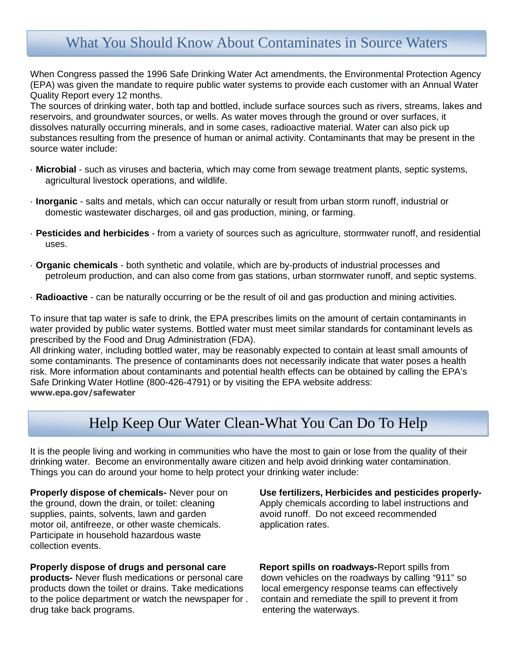### What You Should Know About Contaminates in Source Waters

When Congress passed the 1996 Safe Drinking Water Act amendments, the Environmental Protection Agency (EPA) was given the mandate to require public water systems to provide each customer with an Annual Water Quality Report every 12 months.

The sources of drinking water, both tap and bottled, include surface sources such as rivers, streams, lakes and reservoirs, and groundwater sources, or wells. As water moves through the ground or over surfaces, it dissolves naturally occurring minerals, and in some cases, radioactive material. Water can also pick up substances resulting from the presence of human or animal activity. Contaminants that may be present in the source water include:

- · **Microbial** such as viruses and bacteria, which may come from sewage treatment plants, septic systems, agricultural livestock operations, and wildlife.
- · **Inorganic** salts and metals, which can occur naturally or result from urban storm runoff, industrial or domestic wastewater discharges, oil and gas production, mining, or farming.
- · **Pesticides and herbicides** from a variety of sources such as agriculture, stormwater runoff, and residential uses.
- · **Organic chemicals** both synthetic and volatile, which are by-products of industrial processes and petroleum production, and can also come from gas stations, urban stormwater runoff, and septic systems.
- · **Radioactive** can be naturally occurring or be the result of oil and gas production and mining activities.

To insure that tap water is safe to drink, the EPA prescribes limits on the amount of certain contaminants in water provided by public water systems. Bottled water must meet similar standards for contaminant levels as prescribed by the Food and Drug Administration (FDA).

All drinking water, including bottled water, may be reasonably expected to contain at least small amounts of some contaminants. The presence of contaminants does not necessarily indicate that water poses a health risk. More information about contaminants and potential health effects can be obtained by calling the EPA's Safe Drinking Water Hotline (800-426-4791) or by visiting the EPA website address: **www.epa.gov/safewater**

#### Help Keep Our Water Clean-What You Can Do To Help

It is the people living and working in communities who have the most to gain or lose from the quality of their drinking water. Become an environmentally aware citizen and help avoid drinking water contamination. Things you can do around your home to help protect your drinking water include:

supplies, paints, solvents, lawn and garden motor oil, antifreeze, or other waste chemicals. Application rates. Participate in household hazardous waste collection events.

#### **Properly dispose of drugs and personal care Cheral Report spills on roadways-Report spills from**

**products-** Never flush medications or personal care down vehicles on the roadways by calling "911" so products down the toilet or drains. Take medications local emergency response teams can effectively to the police department or watch the newspaper for . contain and remediate the spill to prevent it from drug take back programs. entering the waterways.

**Properly dispose of chemicals-** Never pour on **Use fertilizers, Herbicides and pesticides properly**the ground, down the drain, or toilet: cleaning Apply chemicals according to label instructions and<br>supplies, paints, solvents, lawn and garden avoid runoff. Do not exceed recommended